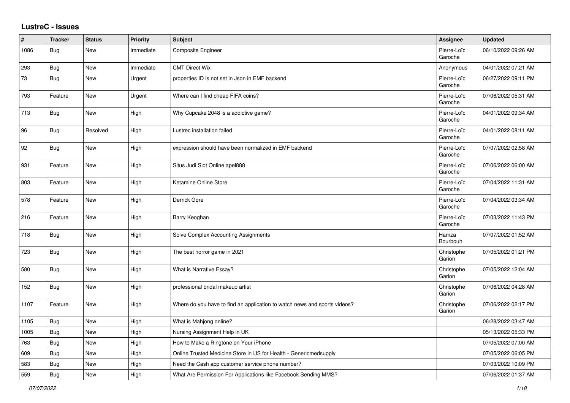## **LustreC - Issues**

| $\#$ | <b>Tracker</b> | <b>Status</b> | Priority  | <b>Subject</b>                                                            | Assignee               | <b>Updated</b>      |
|------|----------------|---------------|-----------|---------------------------------------------------------------------------|------------------------|---------------------|
| 1086 | Bug            | <b>New</b>    | Immediate | Composite Engineer                                                        | Pierre-Loïc<br>Garoche | 06/10/2022 09:26 AM |
| 293  | Bug            | <b>New</b>    | Immediate | <b>CMT Direct Wix</b>                                                     | Anonymous              | 04/01/2022 07:21 AM |
| 73   | Bug            | <b>New</b>    | Urgent    | properties ID is not set in Json in EMF backend                           | Pierre-Loïc<br>Garoche | 06/27/2022 09:11 PM |
| 793  | Feature        | New           | Urgent    | Where can I find cheap FIFA coins?                                        | Pierre-Loïc<br>Garoche | 07/06/2022 05:31 AM |
| 713  | Bug            | New           | High      | Why Cupcake 2048 is a addictive game?                                     | Pierre-Loïc<br>Garoche | 04/01/2022 09:34 AM |
| 96   | <b>Bug</b>     | Resolved      | High      | Lustrec installation failed                                               | Pierre-Loïc<br>Garoche | 04/01/2022 08:11 AM |
| 92   | Bug            | <b>New</b>    | High      | expression should have been normalized in EMF backend                     | Pierre-Loïc<br>Garoche | 07/07/2022 02:58 AM |
| 931  | Feature        | <b>New</b>    | High      | Situs Judi Slot Online apel888                                            | Pierre-Loïc<br>Garoche | 07/06/2022 06:00 AM |
| 803  | Feature        | New           | High      | Ketamine Online Store                                                     | Pierre-Loïc<br>Garoche | 07/04/2022 11:31 AM |
| 578  | Feature        | <b>New</b>    | High      | Derrick Gore                                                              | Pierre-Loïc<br>Garoche | 07/04/2022 03:34 AM |
| 216  | Feature        | <b>New</b>    | High      | Barry Keoghan                                                             | Pierre-Loïc<br>Garoche | 07/03/2022 11:43 PM |
| 718  | Bug            | <b>New</b>    | High      | Solve Complex Accounting Assignments                                      | Hamza<br>Bourbouh      | 07/07/2022 01:52 AM |
| 723  | Bug            | <b>New</b>    | High      | The best horror game in 2021                                              | Christophe<br>Garion   | 07/05/2022 01:21 PM |
| 580  | Bug            | <b>New</b>    | High      | What is Narrative Essay?                                                  | Christophe<br>Garion   | 07/05/2022 12:04 AM |
| 152  | Bug            | New           | High      | professional bridal makeup artist                                         | Christophe<br>Garion   | 07/06/2022 04:28 AM |
| 1107 | Feature        | <b>New</b>    | High      | Where do you have to find an application to watch news and sports videos? | Christophe<br>Garion   | 07/06/2022 02:17 PM |
| 1105 | <b>Bug</b>     | New           | High      | What is Mahjong online?                                                   |                        | 06/28/2022 03:47 AM |
| 1005 | <b>Bug</b>     | <b>New</b>    | High      | Nursing Assignment Help in UK                                             |                        | 05/13/2022 05:33 PM |
| 763  | Bug            | <b>New</b>    | High      | How to Make a Ringtone on Your iPhone                                     |                        | 07/05/2022 07:00 AM |
| 609  | Bug            | New           | High      | Online Trusted Medicine Store in US for Health - Genericmedsupply         |                        | 07/05/2022 06:05 PM |
| 583  | Bug            | New           | High      | Need the Cash app customer service phone number?                          |                        | 07/03/2022 10:09 PM |
| 559  | Bug            | New           | High      | What Are Permission For Applications like Facebook Sending MMS?           |                        | 07/06/2022 01:37 AM |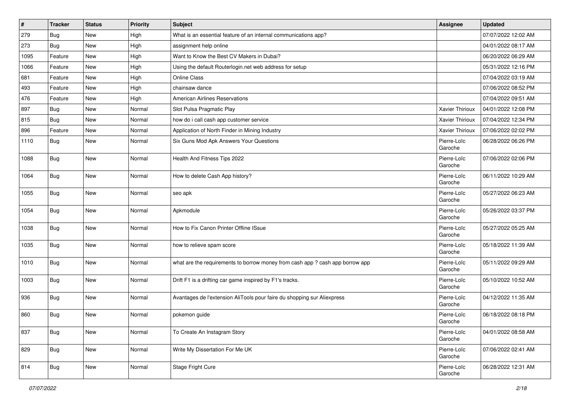| $\pmb{\#}$ | <b>Tracker</b> | <b>Status</b> | <b>Priority</b> | <b>Subject</b>                                                                | Assignee               | <b>Updated</b>      |
|------------|----------------|---------------|-----------------|-------------------------------------------------------------------------------|------------------------|---------------------|
| 279        | Bug            | New           | High            | What is an essential feature of an internal communications app?               |                        | 07/07/2022 12:02 AM |
| 273        | Bug            | New           | High            | assignment help online                                                        |                        | 04/01/2022 08:17 AM |
| 1095       | Feature        | New           | High            | Want to Know the Best CV Makers in Dubai?                                     |                        | 06/20/2022 06:29 AM |
| 1066       | Feature        | <b>New</b>    | High            | Using the default Routerlogin.net web address for setup                       |                        | 05/31/2022 12:16 PM |
| 681        | Feature        | <b>New</b>    | High            | <b>Online Class</b>                                                           |                        | 07/04/2022 03:19 AM |
| 493        | Feature        | New           | High            | chainsaw dance                                                                |                        | 07/06/2022 08:52 PM |
| 476        | Feature        | <b>New</b>    | High            | <b>American Airlines Reservations</b>                                         |                        | 07/04/2022 09:51 AM |
| 897        | Bug            | New           | Normal          | Slot Pulsa Pragmatic Play                                                     | Xavier Thirioux        | 04/01/2022 12:08 PM |
| 815        | Bug            | <b>New</b>    | Normal          | how do i call cash app customer service                                       | Xavier Thirioux        | 07/04/2022 12:34 PM |
| 896        | Feature        | <b>New</b>    | Normal          | Application of North Finder in Mining Industry                                | Xavier Thirioux        | 07/06/2022 02:02 PM |
| 1110       | <b>Bug</b>     | <b>New</b>    | Normal          | Six Guns Mod Apk Answers Your Questions                                       | Pierre-Loïc<br>Garoche | 06/28/2022 06:26 PM |
| 1088       | Bug            | <b>New</b>    | Normal          | Health And Fitness Tips 2022                                                  | Pierre-Loïc<br>Garoche | 07/06/2022 02:06 PM |
| 1064       | Bug            | <b>New</b>    | Normal          | How to delete Cash App history?                                               | Pierre-Loïc<br>Garoche | 06/11/2022 10:29 AM |
| 1055       | Bug            | <b>New</b>    | Normal          | seo apk                                                                       | Pierre-Loïc<br>Garoche | 05/27/2022 06:23 AM |
| 1054       | Bug            | New           | Normal          | Apkmodule                                                                     | Pierre-Loïc<br>Garoche | 05/26/2022 03:37 PM |
| 1038       | Bug            | New           | Normal          | How to Fix Canon Printer Offline ISsue                                        | Pierre-Loïc<br>Garoche | 05/27/2022 05:25 AM |
| 1035       | Bug            | <b>New</b>    | Normal          | how to relieve spam score                                                     | Pierre-Loïc<br>Garoche | 05/18/2022 11:39 AM |
| 1010       | <b>Bug</b>     | <b>New</b>    | Normal          | what are the requirements to borrow money from cash app ? cash app borrow app | Pierre-Loïc<br>Garoche | 05/11/2022 09:29 AM |
| 1003       | Bug            | <b>New</b>    | Normal          | Drift F1 is a drifting car game inspired by F1's tracks.                      | Pierre-Loïc<br>Garoche | 05/10/2022 10:52 AM |
| 936        | Bug            | <b>New</b>    | Normal          | Avantages de l'extension AliTools pour faire du shopping sur Aliexpress       | Pierre-Loïc<br>Garoche | 04/12/2022 11:35 AM |
| 860        | Bug            | <b>New</b>    | Normal          | pokemon guide                                                                 | Pierre-Loïc<br>Garoche | 06/18/2022 08:18 PM |
| 837        | Bug            | New           | Normal          | To Create An Instagram Story                                                  | Pierre-Loïc<br>Garoche | 04/01/2022 08:58 AM |
| 829        | Bug            | New           | Normal          | Write My Dissertation For Me UK                                               | Pierre-Loïc<br>Garoche | 07/06/2022 02:41 AM |
| 814        | <b>Bug</b>     | New           | Normal          | <b>Stage Fright Cure</b>                                                      | Pierre-Loïc<br>Garoche | 06/28/2022 12:31 AM |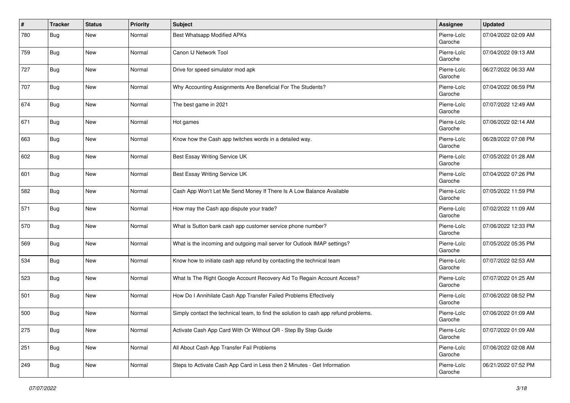| #   | <b>Tracker</b> | <b>Status</b> | <b>Priority</b> | <b>Subject</b>                                                                       | Assignee               | <b>Updated</b>      |
|-----|----------------|---------------|-----------------|--------------------------------------------------------------------------------------|------------------------|---------------------|
| 780 | Bug            | New           | Normal          | <b>Best Whatsapp Modified APKs</b>                                                   | Pierre-Loïc<br>Garoche | 07/04/2022 02:09 AM |
| 759 | Bug            | <b>New</b>    | Normal          | Canon IJ Network Tool                                                                | Pierre-Loïc<br>Garoche | 07/04/2022 09:13 AM |
| 727 | Bug            | <b>New</b>    | Normal          | Drive for speed simulator mod apk                                                    | Pierre-Loïc<br>Garoche | 06/27/2022 06:33 AM |
| 707 | Bug            | <b>New</b>    | Normal          | Why Accounting Assignments Are Beneficial For The Students?                          | Pierre-Loïc<br>Garoche | 07/04/2022 06:59 PM |
| 674 | Bug            | <b>New</b>    | Normal          | The best game in 2021                                                                | Pierre-Loïc<br>Garoche | 07/07/2022 12:49 AM |
| 671 | Bug            | <b>New</b>    | Normal          | Hot games                                                                            | Pierre-Loïc<br>Garoche | 07/06/2022 02:14 AM |
| 663 | Bug            | <b>New</b>    | Normal          | Know how the Cash app twitches words in a detailed way.                              | Pierre-Loïc<br>Garoche | 06/28/2022 07:08 PM |
| 602 | Bug            | <b>New</b>    | Normal          | Best Essay Writing Service UK                                                        | Pierre-Loïc<br>Garoche | 07/05/2022 01:28 AM |
| 601 | Bug            | <b>New</b>    | Normal          | Best Essay Writing Service UK                                                        | Pierre-Loïc<br>Garoche | 07/04/2022 07:26 PM |
| 582 | <b>Bug</b>     | <b>New</b>    | Normal          | Cash App Won't Let Me Send Money If There Is A Low Balance Available                 | Pierre-Loïc<br>Garoche | 07/05/2022 11:59 PM |
| 571 | Bug            | <b>New</b>    | Normal          | How may the Cash app dispute your trade?                                             | Pierre-Loïc<br>Garoche | 07/02/2022 11:09 AM |
| 570 | Bug            | <b>New</b>    | Normal          | What is Sutton bank cash app customer service phone number?                          | Pierre-Loïc<br>Garoche | 07/06/2022 12:33 PM |
| 569 | <b>Bug</b>     | <b>New</b>    | Normal          | What is the incoming and outgoing mail server for Outlook IMAP settings?             | Pierre-Loïc<br>Garoche | 07/05/2022 05:35 PM |
| 534 | Bug            | <b>New</b>    | Normal          | Know how to initiate cash app refund by contacting the technical team                | Pierre-Loïc<br>Garoche | 07/07/2022 02:53 AM |
| 523 | Bug            | <b>New</b>    | Normal          | What Is The Right Google Account Recovery Aid To Regain Account Access?              | Pierre-Loïc<br>Garoche | 07/07/2022 01:25 AM |
| 501 | Bug            | <b>New</b>    | Normal          | How Do I Annihilate Cash App Transfer Failed Problems Effectively                    | Pierre-Loïc<br>Garoche | 07/06/2022 08:52 PM |
| 500 | Bug            | <b>New</b>    | Normal          | Simply contact the technical team, to find the solution to cash app refund problems. | Pierre-Loïc<br>Garoche | 07/06/2022 01:09 AM |
| 275 | <b>Bug</b>     | <b>New</b>    | Normal          | Activate Cash App Card With Or Without QR - Step By Step Guide                       | Pierre-Loïc<br>Garoche | 07/07/2022 01:09 AM |
| 251 | <b>Bug</b>     | <b>New</b>    | Normal          | All About Cash App Transfer Fail Problems                                            | Pierre-Loïc<br>Garoche | 07/06/2022 02:08 AM |
| 249 | <b>Bug</b>     | New           | Normal          | Steps to Activate Cash App Card in Less then 2 Minutes - Get Information             | Pierre-Loïc<br>Garoche | 06/21/2022 07:52 PM |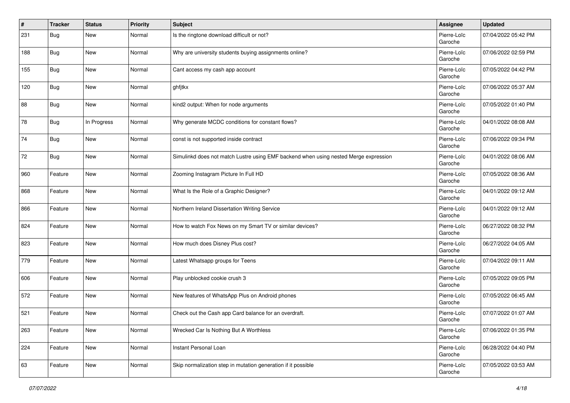| $\vert$ # | <b>Tracker</b> | <b>Status</b> | <b>Priority</b> | <b>Subject</b>                                                                       | Assignee               | <b>Updated</b>      |
|-----------|----------------|---------------|-----------------|--------------------------------------------------------------------------------------|------------------------|---------------------|
| 231       | Bug            | New           | Normal          | Is the ringtone download difficult or not?                                           | Pierre-Loïc<br>Garoche | 07/04/2022 05:42 PM |
| 188       | <b>Bug</b>     | <b>New</b>    | Normal          | Why are university students buying assignments online?                               | Pierre-Loïc<br>Garoche | 07/06/2022 02:59 PM |
| 155       | Bug            | <b>New</b>    | Normal          | Cant access my cash app account                                                      | Pierre-Loïc<br>Garoche | 07/05/2022 04:42 PM |
| 120       | Bug            | <b>New</b>    | Normal          | ghfjtkx                                                                              | Pierre-Loïc<br>Garoche | 07/06/2022 05:37 AM |
| 88        | Bug            | <b>New</b>    | Normal          | kind2 output: When for node arguments                                                | Pierre-Loïc<br>Garoche | 07/05/2022 01:40 PM |
| 78        | Bug            | In Progress   | Normal          | Why generate MCDC conditions for constant flows?                                     | Pierre-Loïc<br>Garoche | 04/01/2022 08:08 AM |
| 74        | Bug            | New           | Normal          | const is not supported inside contract                                               | Pierre-Loïc<br>Garoche | 07/06/2022 09:34 PM |
| 72        | Bug            | <b>New</b>    | Normal          | Simulinkd does not match Lustre using EMF backend when using nested Merge expression | Pierre-Loïc<br>Garoche | 04/01/2022 08:06 AM |
| 960       | Feature        | <b>New</b>    | Normal          | Zooming Instagram Picture In Full HD                                                 | Pierre-Loïc<br>Garoche | 07/05/2022 08:36 AM |
| 868       | Feature        | New           | Normal          | What Is the Role of a Graphic Designer?                                              | Pierre-Loïc<br>Garoche | 04/01/2022 09:12 AM |
| 866       | Feature        | New           | Normal          | Northern Ireland Dissertation Writing Service                                        | Pierre-Loïc<br>Garoche | 04/01/2022 09:12 AM |
| 824       | Feature        | <b>New</b>    | Normal          | How to watch Fox News on my Smart TV or similar devices?                             | Pierre-Loïc<br>Garoche | 06/27/2022 08:32 PM |
| 823       | Feature        | <b>New</b>    | Normal          | How much does Disney Plus cost?                                                      | Pierre-Loïc<br>Garoche | 06/27/2022 04:05 AM |
| 779       | Feature        | New           | Normal          | Latest Whatsapp groups for Teens                                                     | Pierre-Loïc<br>Garoche | 07/04/2022 09:11 AM |
| 606       | Feature        | <b>New</b>    | Normal          | Play unblocked cookie crush 3                                                        | Pierre-Loïc<br>Garoche | 07/05/2022 09:05 PM |
| 572       | Feature        | <b>New</b>    | Normal          | New features of WhatsApp Plus on Android phones                                      | Pierre-Loïc<br>Garoche | 07/05/2022 06:45 AM |
| 521       | Feature        | <b>New</b>    | Normal          | Check out the Cash app Card balance for an overdraft.                                | Pierre-Loïc<br>Garoche | 07/07/2022 01:07 AM |
| 263       | Feature        | New           | Normal          | Wrecked Car Is Nothing But A Worthless                                               | Pierre-Loïc<br>Garoche | 07/06/2022 01:35 PM |
| 224       | Feature        | New           | Normal          | Instant Personal Loan                                                                | Pierre-Loïc<br>Garoche | 06/28/2022 04:40 PM |
| 63        | Feature        | New           | Normal          | Skip normalization step in mutation generation if it possible                        | Pierre-Loïc<br>Garoche | 07/05/2022 03:53 AM |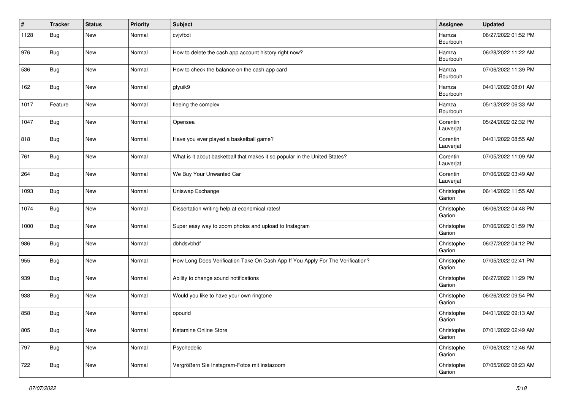| $\vert$ # | <b>Tracker</b> | <b>Status</b> | <b>Priority</b> | <b>Subject</b>                                                                 | Assignee              | <b>Updated</b>      |
|-----------|----------------|---------------|-----------------|--------------------------------------------------------------------------------|-----------------------|---------------------|
| 1128      | Bug            | New           | Normal          | cvjvfbdi                                                                       | Hamza<br>Bourbouh     | 06/27/2022 01:52 PM |
| 976       | Bug            | <b>New</b>    | Normal          | How to delete the cash app account history right now?                          | Hamza<br>Bourbouh     | 06/28/2022 11:22 AM |
| 536       | <b>Bug</b>     | <b>New</b>    | Normal          | How to check the balance on the cash app card                                  | Hamza<br>Bourbouh     | 07/06/2022 11:39 PM |
| 162       | Bug            | <b>New</b>    | Normal          | gfyuik9                                                                        | Hamza<br>Bourbouh     | 04/01/2022 08:01 AM |
| 1017      | Feature        | New           | Normal          | fleeing the complex                                                            | Hamza<br>Bourbouh     | 05/13/2022 06:33 AM |
| 1047      | <b>Bug</b>     | <b>New</b>    | Normal          | Opensea                                                                        | Corentin<br>Lauverjat | 05/24/2022 02:32 PM |
| 818       | Bug            | <b>New</b>    | Normal          | Have you ever played a basketball game?                                        | Corentin<br>Lauverjat | 04/01/2022 08:55 AM |
| 761       | Bug            | <b>New</b>    | Normal          | What is it about basketball that makes it so popular in the United States?     | Corentin<br>Lauverjat | 07/05/2022 11:09 AM |
| 264       | <b>Bug</b>     | <b>New</b>    | Normal          | We Buy Your Unwanted Car                                                       | Corentin<br>Lauverjat | 07/06/2022 03:49 AM |
| 1093      | <b>Bug</b>     | New           | Normal          | Uniswap Exchange                                                               | Christophe<br>Garion  | 06/14/2022 11:55 AM |
| 1074      | <b>Bug</b>     | <b>New</b>    | Normal          | Dissertation writing help at economical rates!                                 | Christophe<br>Garion  | 06/06/2022 04:48 PM |
| 1000      | <b>Bug</b>     | <b>New</b>    | Normal          | Super easy way to zoom photos and upload to Instagram                          | Christophe<br>Garion  | 07/06/2022 01:59 PM |
| 986       | <b>Bug</b>     | <b>New</b>    | Normal          | dbhdsvbhdf                                                                     | Christophe<br>Garion  | 06/27/2022 04:12 PM |
| 955       | Bug            | New           | Normal          | How Long Does Verification Take On Cash App If You Apply For The Verification? | Christophe<br>Garion  | 07/05/2022 02:41 PM |
| 939       | Bug            | <b>New</b>    | Normal          | Ability to change sound notifications                                          | Christophe<br>Garion  | 06/27/2022 11:29 PM |
| 938       | Bug            | New           | Normal          | Would you like to have your own ringtone                                       | Christophe<br>Garion  | 06/26/2022 09:54 PM |
| 858       | <b>Bug</b>     | New           | Normal          | opourid                                                                        | Christophe<br>Garion  | 04/01/2022 09:13 AM |
| 805       | <b>Bug</b>     | <b>New</b>    | Normal          | Ketamine Online Store                                                          | Christophe<br>Garion  | 07/01/2022 02:49 AM |
| 797       | <b>Bug</b>     | New           | Normal          | Psychedelic                                                                    | Christophe<br>Garion  | 07/06/2022 12:46 AM |
| 722       | Bug            | New           | Normal          | Vergrößern Sie Instagram-Fotos mit instazoom                                   | Christophe<br>Garion  | 07/05/2022 08:23 AM |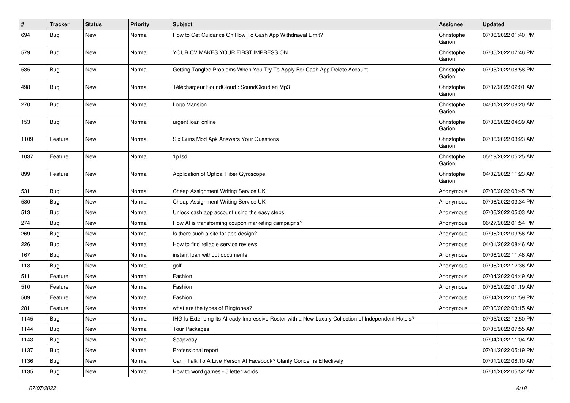| $\vert$ # | <b>Tracker</b> | <b>Status</b> | <b>Priority</b> | <b>Subject</b>                                                                                     | Assignee             | <b>Updated</b>      |
|-----------|----------------|---------------|-----------------|----------------------------------------------------------------------------------------------------|----------------------|---------------------|
| 694       | Bug            | New           | Normal          | How to Get Guidance On How To Cash App Withdrawal Limit?                                           | Christophe<br>Garion | 07/06/2022 01:40 PM |
| 579       | Bug            | <b>New</b>    | Normal          | YOUR CV MAKES YOUR FIRST IMPRESSION                                                                | Christophe<br>Garion | 07/05/2022 07:46 PM |
| 535       | Bug            | <b>New</b>    | Normal          | Getting Tangled Problems When You Try To Apply For Cash App Delete Account                         | Christophe<br>Garion | 07/05/2022 08:58 PM |
| 498       | Bug            | <b>New</b>    | Normal          | Téléchargeur SoundCloud : SoundCloud en Mp3                                                        | Christophe<br>Garion | 07/07/2022 02:01 AM |
| 270       | Bug            | <b>New</b>    | Normal          | Logo Mansion                                                                                       | Christophe<br>Garion | 04/01/2022 08:20 AM |
| 153       | <b>Bug</b>     | <b>New</b>    | Normal          | urgent loan online                                                                                 | Christophe<br>Garion | 07/06/2022 04:39 AM |
| 1109      | Feature        | <b>New</b>    | Normal          | Six Guns Mod Apk Answers Your Questions                                                            | Christophe<br>Garion | 07/06/2022 03:23 AM |
| 1037      | Feature        | <b>New</b>    | Normal          | 1p Isd                                                                                             | Christophe<br>Garion | 05/19/2022 05:25 AM |
| 899       | Feature        | <b>New</b>    | Normal          | Application of Optical Fiber Gyroscope                                                             | Christophe<br>Garion | 04/02/2022 11:23 AM |
| 531       | Bug            | <b>New</b>    | Normal          | Cheap Assignment Writing Service UK                                                                | Anonymous            | 07/06/2022 03:45 PM |
| 530       | Bug            | <b>New</b>    | Normal          | Cheap Assignment Writing Service UK                                                                | Anonymous            | 07/06/2022 03:34 PM |
| 513       | Bug            | <b>New</b>    | Normal          | Unlock cash app account using the easy steps:                                                      | Anonymous            | 07/06/2022 05:03 AM |
| 274       | Bug            | New           | Normal          | How AI is transforming coupon marketing campaigns?                                                 | Anonymous            | 06/27/2022 01:54 PM |
| 269       | <b>Bug</b>     | New           | Normal          | Is there such a site for app design?                                                               | Anonymous            | 07/06/2022 03:56 AM |
| 226       | Bug            | <b>New</b>    | Normal          | How to find reliable service reviews                                                               | Anonymous            | 04/01/2022 08:46 AM |
| 167       | Bug            | <b>New</b>    | Normal          | instant loan without documents                                                                     | Anonymous            | 07/06/2022 11:48 AM |
| 118       | Bug            | <b>New</b>    | Normal          | golf                                                                                               | Anonymous            | 07/06/2022 12:36 AM |
| 511       | Feature        | <b>New</b>    | Normal          | Fashion                                                                                            | Anonymous            | 07/04/2022 04:49 AM |
| 510       | Feature        | <b>New</b>    | Normal          | Fashion                                                                                            | Anonymous            | 07/06/2022 01:19 AM |
| 509       | Feature        | <b>New</b>    | Normal          | Fashion                                                                                            | Anonymous            | 07/04/2022 01:59 PM |
| 281       | Feature        | <b>New</b>    | Normal          | what are the types of Ringtones?                                                                   | Anonymous            | 07/06/2022 03:15 AM |
| 1145      | Bug            | New           | Normal          | IHG Is Extending Its Already Impressive Roster with a New Luxury Collection of Independent Hotels? |                      | 07/05/2022 12:50 PM |
| 1144      | Bug            | New           | Normal          | <b>Tour Packages</b>                                                                               |                      | 07/05/2022 07:55 AM |
| 1143      | Bug            | New           | Normal          | Soap2day                                                                                           |                      | 07/04/2022 11:04 AM |
| 1137      | Bug            | New           | Normal          | Professional report                                                                                |                      | 07/01/2022 05:19 PM |
| 1136      | Bug            | New           | Normal          | Can I Talk To A Live Person At Facebook? Clarify Concerns Effectively                              |                      | 07/01/2022 08:10 AM |
| 1135      | <b>Bug</b>     | New           | Normal          | How to word games - 5 letter words                                                                 |                      | 07/01/2022 05:52 AM |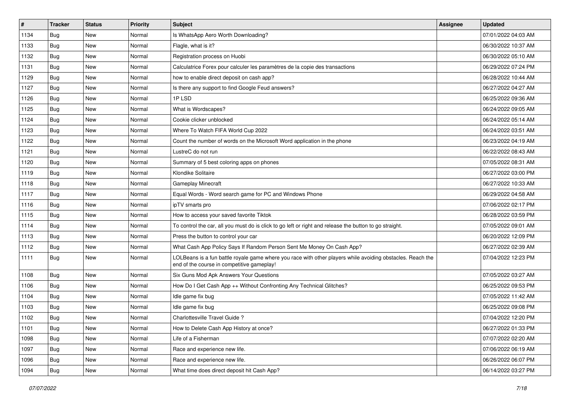| $\vert$ # | <b>Tracker</b> | <b>Status</b> | <b>Priority</b> | Subject                                                                                                                                                  | Assignee | <b>Updated</b>      |
|-----------|----------------|---------------|-----------------|----------------------------------------------------------------------------------------------------------------------------------------------------------|----------|---------------------|
| 1134      | Bug            | <b>New</b>    | Normal          | Is WhatsApp Aero Worth Downloading?                                                                                                                      |          | 07/01/2022 04:03 AM |
| 1133      | Bug            | <b>New</b>    | Normal          | Flagle, what is it?                                                                                                                                      |          | 06/30/2022 10:37 AM |
| 1132      | Bug            | <b>New</b>    | Normal          | Registration process on Huobi                                                                                                                            |          | 06/30/2022 05:10 AM |
| 1131      | Bug            | <b>New</b>    | Normal          | Calculatrice Forex pour calculer les paramètres de la copie des transactions                                                                             |          | 06/29/2022 07:24 PM |
| 1129      | Bug            | <b>New</b>    | Normal          | how to enable direct deposit on cash app?                                                                                                                |          | 06/28/2022 10:44 AM |
| 1127      | Bug            | <b>New</b>    | Normal          | Is there any support to find Google Feud answers?                                                                                                        |          | 06/27/2022 04:27 AM |
| 1126      | Bug            | <b>New</b>    | Normal          | 1PLSD                                                                                                                                                    |          | 06/25/2022 09:36 AM |
| 1125      | Bug            | <b>New</b>    | Normal          | What is Wordscapes?                                                                                                                                      |          | 06/24/2022 09:05 AM |
| 1124      | Bug            | <b>New</b>    | Normal          | Cookie clicker unblocked                                                                                                                                 |          | 06/24/2022 05:14 AM |
| 1123      | Bug            | <b>New</b>    | Normal          | Where To Watch FIFA World Cup 2022                                                                                                                       |          | 06/24/2022 03:51 AM |
| 1122      | Bug            | <b>New</b>    | Normal          | Count the number of words on the Microsoft Word application in the phone                                                                                 |          | 06/23/2022 04:19 AM |
| 1121      | Bug            | <b>New</b>    | Normal          | LustreC do not run                                                                                                                                       |          | 06/22/2022 08:43 AM |
| 1120      | Bug            | <b>New</b>    | Normal          | Summary of 5 best coloring apps on phones                                                                                                                |          | 07/05/2022 08:31 AM |
| 1119      | Bug            | <b>New</b>    | Normal          | Klondike Solitaire                                                                                                                                       |          | 06/27/2022 03:00 PM |
| 1118      | Bug            | <b>New</b>    | Normal          | <b>Gameplay Minecraft</b>                                                                                                                                |          | 06/27/2022 10:33 AM |
| 1117      | Bug            | <b>New</b>    | Normal          | Equal Words - Word search game for PC and Windows Phone                                                                                                  |          | 06/29/2022 04:58 AM |
| 1116      | Bug            | <b>New</b>    | Normal          | ipTV smarts pro                                                                                                                                          |          | 07/06/2022 02:17 PM |
| 1115      | Bug            | <b>New</b>    | Normal          | How to access your saved favorite Tiktok                                                                                                                 |          | 06/28/2022 03:59 PM |
| 1114      | Bug            | New           | Normal          | To control the car, all you must do is click to go left or right and release the button to go straight.                                                  |          | 07/05/2022 09:01 AM |
| 1113      | Bug            | <b>New</b>    | Normal          | Press the button to control your car                                                                                                                     |          | 06/20/2022 12:09 PM |
| 1112      | Bug            | New           | Normal          | What Cash App Policy Says If Random Person Sent Me Money On Cash App?                                                                                    |          | 06/27/2022 02:39 AM |
| 1111      | Bug            | <b>New</b>    | Normal          | LOLBeans is a fun battle royale game where you race with other players while avoiding obstacles. Reach the<br>end of the course in competitive gameplay! |          | 07/04/2022 12:23 PM |
| 1108      | Bug            | <b>New</b>    | Normal          | Six Guns Mod Apk Answers Your Questions                                                                                                                  |          | 07/05/2022 03:27 AM |
| 1106      | Bug            | <b>New</b>    | Normal          | How Do I Get Cash App ++ Without Confronting Any Technical Glitches?                                                                                     |          | 06/25/2022 09:53 PM |
| 1104      | Bug            | <b>New</b>    | Normal          | Idle game fix bug                                                                                                                                        |          | 07/05/2022 11:42 AM |
| 1103      | Bug            | New           | Normal          | Idle game fix bug                                                                                                                                        |          | 06/25/2022 09:08 PM |
| 1102      | <b>Bug</b>     | New           | Normal          | Charlottesville Travel Guide?                                                                                                                            |          | 07/04/2022 12:20 PM |
| 1101      | Bug            | New           | Normal          | How to Delete Cash App History at once?                                                                                                                  |          | 06/27/2022 01:33 PM |
| 1098      | Bug            | New           | Normal          | Life of a Fisherman                                                                                                                                      |          | 07/07/2022 02:20 AM |
| 1097      | Bug            | New           | Normal          | Race and experience new life.                                                                                                                            |          | 07/06/2022 06:19 AM |
| 1096      | <b>Bug</b>     | New           | Normal          | Race and experience new life.                                                                                                                            |          | 06/26/2022 06:07 PM |
| 1094      | <b>Bug</b>     | New           | Normal          | What time does direct deposit hit Cash App?                                                                                                              |          | 06/14/2022 03:27 PM |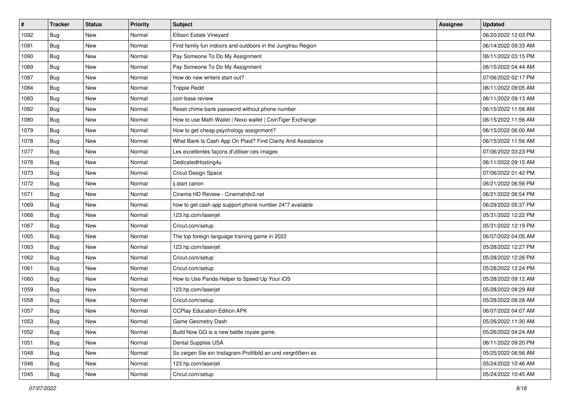| $\vert$ # | <b>Tracker</b> | <b>Status</b> | <b>Priority</b> | <b>Subject</b>                                              | <b>Assignee</b> | <b>Updated</b>      |
|-----------|----------------|---------------|-----------------|-------------------------------------------------------------|-----------------|---------------------|
| 1092      | Bug            | New           | Normal          | Ellison Estate Vineyard                                     |                 | 06/20/2022 12:03 PM |
| 1091      | Bug            | <b>New</b>    | Normal          | Find family fun indoors and outdoors in the Jungfrau Region |                 | 06/14/2022 09:33 AM |
| 1090      | Bug            | New           | Normal          | Pay Someone To Do My Assignment                             |                 | 06/11/2022 03:15 PM |
| 1089      | Bug            | <b>New</b>    | Normal          | Pay Someone To Do My Assignment                             |                 | 06/15/2022 04:44 AM |
| 1087      | Bug            | <b>New</b>    | Normal          | How do new writers start out?                               |                 | 07/06/2022 02:17 PM |
| 1084      | Bug            | New           | Normal          | <b>Trippie Redd</b>                                         |                 | 06/11/2022 09:05 AM |
| 1083      | Bug            | New           | Normal          | coin base review                                            |                 | 06/11/2022 09:13 AM |
| 1082      | Bug            | New           | Normal          | Reset chime bank password without phone number              |                 | 06/15/2022 11:56 AM |
| 1080      | Bug            | New           | Normal          | How to use Math Wallet   Nexo wallet   CoinTiger Exchange   |                 | 06/15/2022 11:56 AM |
| 1079      | Bug            | New           | Normal          | How to get cheap psychology assignment?                     |                 | 06/15/2022 06:00 AM |
| 1078      | Bug            | <b>New</b>    | Normal          | What Bank Is Cash App On Plaid? Find Clarity And Assistance |                 | 06/15/2022 11:56 AM |
| 1077      | Bug            | New           | Normal          | Les excellentes façons d'utiliser ces images                |                 | 07/06/2022 03:23 PM |
| 1076      | Bug            | <b>New</b>    | Normal          | DedicatedHosting4u                                          |                 | 06/11/2022 09:15 AM |
| 1073      | Bug            | <b>New</b>    | Normal          | <b>Cricut Design Space</b>                                  |                 | 07/06/2022 01:42 PM |
| 1072      | Bug            | <b>New</b>    | Normal          | ij.start canon                                              |                 | 06/21/2022 06:56 PM |
| 1071      | Bug            | New           | Normal          | Cinema HD Review - Cinemahdy2.net                           |                 | 06/21/2022 06:54 PM |
| 1069      | Bug            | <b>New</b>    | Normal          | how to get cash app support phone number 24*7 available     |                 | 06/29/2022 05:37 PM |
| 1068      | Bug            | New           | Normal          | 123.hp.com/laserjet                                         |                 | 05/31/2022 12:22 PM |
| 1067      | Bug            | <b>New</b>    | Normal          | Cricut.com/setup                                            |                 | 05/31/2022 12:19 PM |
| 1065      | Bug            | <b>New</b>    | Normal          | The top foreign language training game in 2022              |                 | 06/07/2022 04:05 AM |
| 1063      | Bug            | New           | Normal          | 123.hp.com/laserjet                                         |                 | 05/28/2022 12:27 PM |
| 1062      | Bug            | <b>New</b>    | Normal          | Cricut.com/setup                                            |                 | 05/28/2022 12:26 PM |
| 1061      | Bug            | <b>New</b>    | Normal          | Cricut.com/setup                                            |                 | 05/28/2022 12:24 PM |
| 1060      | Bug            | <b>New</b>    | Normal          | How to Use Panda Helper to Speed Up Your iOS                |                 | 05/28/2022 09:12 AM |
| 1059      | Bug            | <b>New</b>    | Normal          | 123.hp.com/laserjet                                         |                 | 05/28/2022 08:29 AM |
| 1058      | Bug            | <b>New</b>    | Normal          | Cricut.com/setup                                            |                 | 05/28/2022 08:28 AM |
| 1057      | Bug            | New           | Normal          | <b>CCPlay Education Edition APK</b>                         |                 | 06/07/2022 04:07 AM |
| 1053      | <b>Bug</b>     | New           | Normal          | Game Geometry Dash                                          |                 | 05/26/2022 11:30 AM |
| 1052      | Bug            | New           | Normal          | Build Now GG is a new battle royale game.                   |                 | 05/26/2022 04:24 AM |
| 1051      | Bug            | New           | Normal          | Dental Supplies USA                                         |                 | 06/11/2022 09:20 PM |
| 1048      | Bug            | New           | Normal          | So zeigen Sie ein Instagram-Profilbild an und vergrößern es |                 | 05/25/2022 06:56 AM |
| 1046      | <b>Bug</b>     | New           | Normal          | 123.hp.com/laserjet                                         |                 | 05/24/2022 10:46 AM |
| 1045      | <b>Bug</b>     | New           | Normal          | Cricut.com/setup                                            |                 | 05/24/2022 10:45 AM |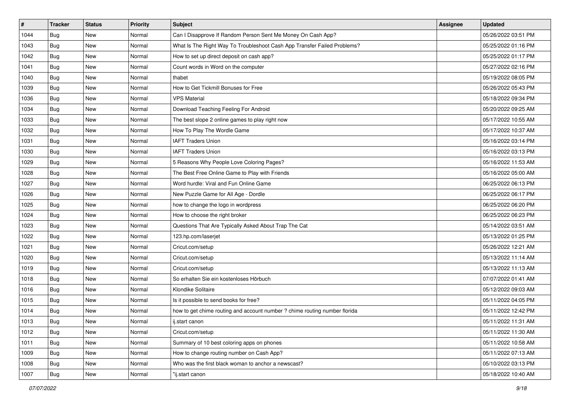| #    | <b>Tracker</b> | <b>Status</b> | <b>Priority</b> | <b>Subject</b>                                                             | Assignee | <b>Updated</b>      |
|------|----------------|---------------|-----------------|----------------------------------------------------------------------------|----------|---------------------|
| 1044 | Bug            | New           | Normal          | Can I Disapprove If Random Person Sent Me Money On Cash App?               |          | 05/26/2022 03:51 PM |
| 1043 | Bug            | New           | Normal          | What Is The Right Way To Troubleshoot Cash App Transfer Failed Problems?   |          | 05/25/2022 01:16 PM |
| 1042 | Bug            | New           | Normal          | How to set up direct deposit on cash app?                                  |          | 05/25/2022 01:17 PM |
| 1041 | Bug            | New           | Normal          | Count words in Word on the computer                                        |          | 05/27/2022 02:16 PM |
| 1040 | Bug            | <b>New</b>    | Normal          | thabet                                                                     |          | 05/19/2022 08:05 PM |
| 1039 | Bug            | New           | Normal          | How to Get Tickmill Bonuses for Free                                       |          | 05/26/2022 05:43 PM |
| 1036 | Bug            | <b>New</b>    | Normal          | <b>VPS Material</b>                                                        |          | 05/18/2022 09:34 PM |
| 1034 | Bug            | New           | Normal          | Download Teaching Feeling For Android                                      |          | 05/20/2022 09:25 AM |
| 1033 | Bug            | New           | Normal          | The best slope 2 online games to play right now                            |          | 05/17/2022 10:55 AM |
| 1032 | Bug            | <b>New</b>    | Normal          | How To Play The Wordle Game                                                |          | 05/17/2022 10:37 AM |
| 1031 | Bug            | New           | Normal          | <b>IAFT Traders Union</b>                                                  |          | 05/16/2022 03:14 PM |
| 1030 | Bug            | <b>New</b>    | Normal          | <b>IAFT Traders Union</b>                                                  |          | 05/16/2022 03:13 PM |
| 1029 | Bug            | New           | Normal          | 5 Reasons Why People Love Coloring Pages?                                  |          | 05/16/2022 11:53 AM |
| 1028 | Bug            | New           | Normal          | The Best Free Online Game to Play with Friends                             |          | 05/16/2022 05:00 AM |
| 1027 | Bug            | New           | Normal          | Word hurdle: Viral and Fun Online Game                                     |          | 06/25/2022 06:13 PM |
| 1026 | Bug            | New           | Normal          | New Puzzle Game for All Age - Dordle                                       |          | 06/25/2022 06:17 PM |
| 1025 | Bug            | New           | Normal          | how to change the logo in wordpress                                        |          | 06/25/2022 06:20 PM |
| 1024 | Bug            | New           | Normal          | How to choose the right broker                                             |          | 06/25/2022 06:23 PM |
| 1023 | Bug            | New           | Normal          | Questions That Are Typically Asked About Trap The Cat                      |          | 05/14/2022 03:51 AM |
| 1022 | Bug            | New           | Normal          | 123.hp.com/laserjet                                                        |          | 05/13/2022 01:25 PM |
| 1021 | Bug            | New           | Normal          | Cricut.com/setup                                                           |          | 05/26/2022 12:21 AM |
| 1020 | Bug            | New           | Normal          | Cricut.com/setup                                                           |          | 05/13/2022 11:14 AM |
| 1019 | Bug            | <b>New</b>    | Normal          | Cricut.com/setup                                                           |          | 05/13/2022 11:13 AM |
| 1018 | Bug            | New           | Normal          | So erhalten Sie ein kostenloses Hörbuch                                    |          | 07/07/2022 01:41 AM |
| 1016 | Bug            | New           | Normal          | Klondike Solitaire                                                         |          | 05/12/2022 09:03 AM |
| 1015 | Bug            | New           | Normal          | Is it possible to send books for free?                                     |          | 05/11/2022 04:05 PM |
| 1014 | Bug            | New           | Normal          | how to get chime routing and account number ? chime routing number florida |          | 05/11/2022 12:42 PM |
| 1013 | Bug            | New           | Normal          | ij.start canon                                                             |          | 05/11/2022 11:31 AM |
| 1012 | Bug            | New           | Normal          | Cricut.com/setup                                                           |          | 05/11/2022 11:30 AM |
| 1011 | Bug            | New           | Normal          | Summary of 10 best coloring apps on phones                                 |          | 05/11/2022 10:58 AM |
| 1009 | Bug            | New           | Normal          | How to change routing number on Cash App?                                  |          | 05/11/2022 07:13 AM |
| 1008 | Bug            | New           | Normal          | Who was the first black woman to anchor a newscast?                        |          | 05/10/2022 03:13 PM |
| 1007 | <b>Bug</b>     | New           | Normal          | "ij.start canon                                                            |          | 05/18/2022 10:40 AM |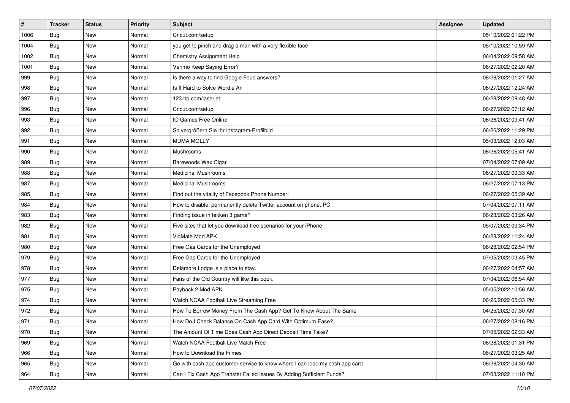| $\sharp$ | <b>Tracker</b> | <b>Status</b> | <b>Priority</b> | <b>Subject</b>                                                              | <b>Assignee</b> | <b>Updated</b>      |
|----------|----------------|---------------|-----------------|-----------------------------------------------------------------------------|-----------------|---------------------|
| 1006     | Bug            | New           | Normal          | Cricut.com/setup                                                            |                 | 05/10/2022 01:22 PM |
| 1004     | Bug            | New           | Normal          | you get to pinch and drag a man with a very flexible face                   |                 | 05/10/2022 10:59 AM |
| 1002     | Bug            | New           | Normal          | Chemistry Assignment Help                                                   |                 | 06/04/2022 09:58 AM |
| 1001     | Bug            | New           | Normal          | Venmo Keep Saying Error?                                                    |                 | 06/27/2022 02:20 AM |
| 999      | Bug            | <b>New</b>    | Normal          | Is there a way to find Google Feud answers?                                 |                 | 06/28/2022 01:27 AM |
| 998      | Bug            | New           | Normal          | Is It Hard to Solve Wordle An                                               |                 | 06/27/2022 12:24 AM |
| 997      | Bug            | New           | Normal          | 123.hp.com/laserjet                                                         |                 | 06/28/2022 09:48 AM |
| 996      | Bug            | New           | Normal          | Cricut.com/setup                                                            |                 | 06/27/2022 07:12 AM |
| 993      | Bug            | New           | Normal          | IO Games Free Online                                                        |                 | 06/26/2022 09:41 AM |
| 992      | Bug            | New           | Normal          | So vergrößern Sie Ihr Instagram-Profilbild                                  |                 | 06/26/2022 11:29 PM |
| 991      | <b>Bug</b>     | New           | Normal          | <b>MDMA MOLLY</b>                                                           |                 | 05/03/2022 12:03 AM |
| 990      | Bug            | New           | Normal          | Mushrooms                                                                   |                 | 06/26/2022 05:41 AM |
| 989      | Bug            | New           | Normal          | Barewoods Wax Cigar                                                         |                 | 07/04/2022 07:09 AM |
| 988      | Bug            | New           | Normal          | <b>Medicinal Mushrooms</b>                                                  |                 | 06/27/2022 09:33 AM |
| 987      | Bug            | New           | Normal          | <b>Medicinal Mushrooms</b>                                                  |                 | 06/27/2022 07:13 PM |
| 985      | Bug            | New           | Normal          | Find out the vitality of Facebook Phone Number:                             |                 | 06/27/2022 05:39 AM |
| 984      | Bug            | New           | Normal          | How to disable, permanently delete Twitter account on phone, PC             |                 | 07/04/2022 07:11 AM |
| 983      | Bug            | New           | Normal          | Finding issue in tekken 3 game?                                             |                 | 06/28/2022 03:26 AM |
| 982      | Bug            | New           | Normal          | Five sites that let you download free scenarios for your iPhone             |                 | 05/07/2022 09:34 PM |
| 981      | Bug            | New           | Normal          | VidMate Mod APK                                                             |                 | 06/28/2022 11:24 AM |
| 980      | Bug            | New           | Normal          | Free Gas Cards for the Unemployed                                           |                 | 06/28/2022 02:54 PM |
| 979      | Bug            | New           | Normal          | Free Gas Cards for the Unemployed                                           |                 | 07/05/2022 03:45 PM |
| 978      | Bug            | New           | Normal          | Delamore Lodge is a place to stay.                                          |                 | 06/27/2022 04:57 AM |
| 977      | <b>Bug</b>     | New           | Normal          | Fans of the Old Country will like this book.                                |                 | 07/04/2022 06:54 AM |
| 975      | Bug            | New           | Normal          | Payback 2 Mod APK                                                           |                 | 05/05/2022 10:56 AM |
| 974      | Bug            | New           | Normal          | Watch NCAA Football Live Streaming Free                                     |                 | 06/26/2022 05:33 PM |
| 972      | <b>Bug</b>     | New           | Normal          | How To Borrow Money From The Cash App? Get To Know About The Same           |                 | 04/25/2022 07:30 AM |
| 971      | I Bug          | New           | Normal          | How Do I Check Balance On Cash App Card With Optimum Ease?                  |                 | 06/27/2022 08:16 PM |
| 970      | Bug            | New           | Normal          | The Amount Of Time Does Cash App Direct Deposit Time Take?                  |                 | 07/05/2022 02:33 AM |
| 969      | Bug            | New           | Normal          | Watch NCAA Football Live Match Free                                         |                 | 06/28/2022 01:31 PM |
| 966      | <b>Bug</b>     | New           | Normal          | How to Download the Filmes                                                  |                 | 06/27/2022 03:25 AM |
| 965      | Bug            | New           | Normal          | Go with cash app customer service to know where I can load my cash app card |                 | 06/28/2022 04:30 AM |
| 964      | Bug            | New           | Normal          | Can I Fix Cash App Transfer Failed Issues By Adding Sufficient Funds?       |                 | 07/03/2022 11:10 PM |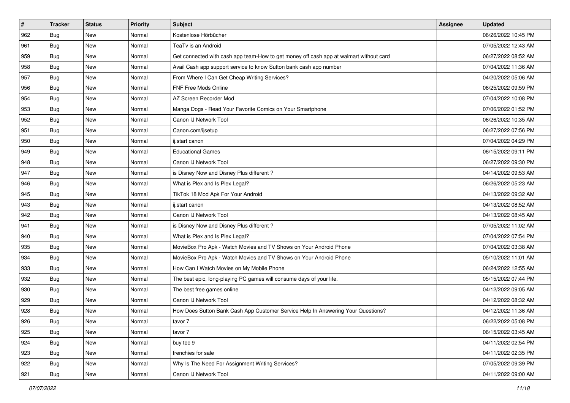| $\sharp$ | <b>Tracker</b> | <b>Status</b> | <b>Priority</b> | Subject                                                                                | Assignee | <b>Updated</b>      |
|----------|----------------|---------------|-----------------|----------------------------------------------------------------------------------------|----------|---------------------|
| 962      | Bug            | New           | Normal          | Kostenlose Hörbücher                                                                   |          | 06/26/2022 10:45 PM |
| 961      | Bug            | <b>New</b>    | Normal          | TeaTv is an Android                                                                    |          | 07/05/2022 12:43 AM |
| 959      | Bug            | New           | Normal          | Get connected with cash app team-How to get money off cash app at walmart without card |          | 06/27/2022 08:52 AM |
| 958      | Bug            | New           | Normal          | Avail Cash app support service to know Sutton bank cash app number                     |          | 07/04/2022 11:36 AM |
| 957      | Bug            | <b>New</b>    | Normal          | From Where I Can Get Cheap Writing Services?                                           |          | 04/20/2022 05:06 AM |
| 956      | Bug            | New           | Normal          | FNF Free Mods Online                                                                   |          | 06/25/2022 09:59 PM |
| 954      | Bug            | New           | Normal          | AZ Screen Recorder Mod                                                                 |          | 07/04/2022 10:08 PM |
| 953      | Bug            | New           | Normal          | Manga Dogs - Read Your Favorite Comics on Your Smartphone                              |          | 07/06/2022 01:52 PM |
| 952      | Bug            | New           | Normal          | Canon IJ Network Tool                                                                  |          | 06/26/2022 10:35 AM |
| 951      | Bug            | <b>New</b>    | Normal          | Canon.com/ijsetup                                                                      |          | 06/27/2022 07:56 PM |
| 950      | Bug            | New           | Normal          | ij.start canon                                                                         |          | 07/04/2022 04:29 PM |
| 949      | Bug            | New           | Normal          | <b>Educational Games</b>                                                               |          | 06/15/2022 09:11 PM |
| 948      | Bug            | New           | Normal          | Canon IJ Network Tool                                                                  |          | 06/27/2022 09:30 PM |
| 947      | Bug            | New           | Normal          | is Disney Now and Disney Plus different?                                               |          | 04/14/2022 09:53 AM |
| 946      | Bug            | New           | Normal          | What is Plex and Is Plex Legal?                                                        |          | 06/26/2022 05:23 AM |
| 945      | Bug            | New           | Normal          | TikTok 18 Mod Apk For Your Android                                                     |          | 04/13/2022 09:32 AM |
| 943      | Bug            | New           | Normal          | ij.start canon                                                                         |          | 04/13/2022 08:52 AM |
| 942      | Bug            | New           | Normal          | Canon IJ Network Tool                                                                  |          | 04/13/2022 08:45 AM |
| 941      | Bug            | New           | Normal          | is Disney Now and Disney Plus different?                                               |          | 07/05/2022 11:02 AM |
| 940      | Bug            | New           | Normal          | What is Plex and Is Plex Legal?                                                        |          | 07/04/2022 07:54 PM |
| 935      | Bug            | New           | Normal          | MovieBox Pro Apk - Watch Movies and TV Shows on Your Android Phone                     |          | 07/04/2022 03:38 AM |
| 934      | Bug            | New           | Normal          | MovieBox Pro Apk - Watch Movies and TV Shows on Your Android Phone                     |          | 05/10/2022 11:01 AM |
| 933      | Bug            | <b>New</b>    | Normal          | How Can I Watch Movies on My Mobile Phone                                              |          | 06/24/2022 12:55 AM |
| 932      | Bug            | New           | Normal          | The best epic, long-playing PC games will consume days of your life.                   |          | 05/15/2022 07:44 PM |
| 930      | Bug            | New           | Normal          | The best free games online                                                             |          | 04/12/2022 09:05 AM |
| 929      | Bug            | New           | Normal          | Canon IJ Network Tool                                                                  |          | 04/12/2022 08:32 AM |
| 928      | <b>Bug</b>     | New           | Normal          | How Does Sutton Bank Cash App Customer Service Help In Answering Your Questions?       |          | 04/12/2022 11:36 AM |
| 926      | Bug            | New           | Normal          | tavor 7                                                                                |          | 06/22/2022 05:08 PM |
| 925      | Bug            | New           | Normal          | tavor 7                                                                                |          | 06/15/2022 03:45 AM |
| 924      | Bug            | New           | Normal          | buy tec 9                                                                              |          | 04/11/2022 02:54 PM |
| 923      | <b>Bug</b>     | New           | Normal          | frenchies for sale                                                                     |          | 04/11/2022 02:35 PM |
| 922      | Bug            | New           | Normal          | Why Is The Need For Assignment Writing Services?                                       |          | 07/05/2022 09:39 PM |
| 921      | Bug            | New           | Normal          | Canon IJ Network Tool                                                                  |          | 04/11/2022 09:00 AM |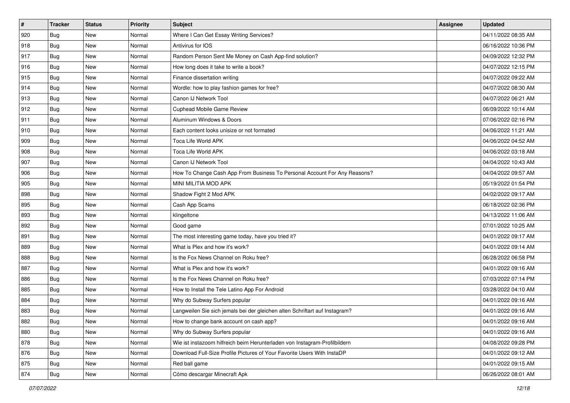| #   | <b>Tracker</b> | <b>Status</b> | <b>Priority</b> | <b>Subject</b>                                                              | <b>Assignee</b> | <b>Updated</b>      |
|-----|----------------|---------------|-----------------|-----------------------------------------------------------------------------|-----------------|---------------------|
| 920 | Bug            | <b>New</b>    | Normal          | Where I Can Get Essay Writing Services?                                     |                 | 04/11/2022 08:35 AM |
| 918 | Bug            | <b>New</b>    | Normal          | Antivirus for IOS                                                           |                 | 06/16/2022 10:36 PM |
| 917 | Bug            | <b>New</b>    | Normal          | Random Person Sent Me Money on Cash App-find solution?                      |                 | 04/09/2022 12:32 PM |
| 916 | <b>Bug</b>     | <b>New</b>    | Normal          | How long does it take to write a book?                                      |                 | 04/07/2022 12:15 PM |
| 915 | Bug            | <b>New</b>    | Normal          | Finance dissertation writing                                                |                 | 04/07/2022 09:22 AM |
| 914 | Bug            | <b>New</b>    | Normal          | Wordle: how to play fashion games for free?                                 |                 | 04/07/2022 08:30 AM |
| 913 | Bug            | <b>New</b>    | Normal          | Canon IJ Network Tool                                                       |                 | 04/07/2022 06:21 AM |
| 912 | Bug            | <b>New</b>    | Normal          | Cuphead Mobile Game Review                                                  |                 | 06/09/2022 10:14 AM |
| 911 | Bug            | <b>New</b>    | Normal          | Aluminum Windows & Doors                                                    |                 | 07/06/2022 02:16 PM |
| 910 | Bug            | <b>New</b>    | Normal          | Each content looks unisize or not formated                                  |                 | 04/06/2022 11:21 AM |
| 909 | Bug            | <b>New</b>    | Normal          | Toca Life World APK                                                         |                 | 04/06/2022 04:52 AM |
| 908 | Bug            | New           | Normal          | Toca Life World APK                                                         |                 | 04/06/2022 03:18 AM |
| 907 | Bug            | <b>New</b>    | Normal          | Canon IJ Network Tool                                                       |                 | 04/04/2022 10:43 AM |
| 906 | Bug            | <b>New</b>    | Normal          | How To Change Cash App From Business To Personal Account For Any Reasons?   |                 | 04/04/2022 09:57 AM |
| 905 | Bug            | <b>New</b>    | Normal          | MINI MILITIA MOD APK                                                        |                 | 05/19/2022 01:54 PM |
| 898 | Bug            | <b>New</b>    | Normal          | Shadow Fight 2 Mod APK                                                      |                 | 04/02/2022 09:17 AM |
| 895 | Bug            | <b>New</b>    | Normal          | Cash App Scams                                                              |                 | 06/18/2022 02:36 PM |
| 893 | Bug            | <b>New</b>    | Normal          | klingeltone                                                                 |                 | 04/13/2022 11:06 AM |
| 892 | Bug            | <b>New</b>    | Normal          | Good game                                                                   |                 | 07/01/2022 10:25 AM |
| 891 | Bug            | <b>New</b>    | Normal          | The most interesting game today, have you tried it?                         |                 | 04/01/2022 09:17 AM |
| 889 | Bug            | <b>New</b>    | Normal          | What is Plex and how it's work?                                             |                 | 04/01/2022 09:14 AM |
| 888 | Bug            | <b>New</b>    | Normal          | Is the Fox News Channel on Roku free?                                       |                 | 06/28/2022 06:58 PM |
| 887 | Bug            | <b>New</b>    | Normal          | What is Plex and how it's work?                                             |                 | 04/01/2022 09:16 AM |
| 886 | <b>Bug</b>     | <b>New</b>    | Normal          | Is the Fox News Channel on Roku free?                                       |                 | 07/03/2022 07:14 PM |
| 885 | Bug            | New           | Normal          | How to Install the Tele Latino App For Android                              |                 | 03/28/2022 04:10 AM |
| 884 | Bug            | <b>New</b>    | Normal          | Why do Subway Surfers popular                                               |                 | 04/01/2022 09:16 AM |
| 883 | <b>Bug</b>     | New           | Normal          | Langweilen Sie sich jemals bei der gleichen alten Schriftart auf Instagram? |                 | 04/01/2022 09:16 AM |
| 882 | <b>Bug</b>     | New           | Normal          | How to change bank account on cash app?                                     |                 | 04/01/2022 09:16 AM |
| 880 | Bug            | New           | Normal          | Why do Subway Surfers popular                                               |                 | 04/01/2022 09:16 AM |
| 878 | Bug            | New           | Normal          | Wie ist instazoom hilfreich beim Herunterladen von Instagram-Profilbildern  |                 | 04/08/2022 09:28 PM |
| 876 | Bug            | New           | Normal          | Download Full-Size Profile Pictures of Your Favorite Users With InstaDP     |                 | 04/01/2022 09:12 AM |
| 875 | <b>Bug</b>     | New           | Normal          | Red ball game                                                               |                 | 04/01/2022 09:15 AM |
| 874 | Bug            | New           | Normal          | Cómo descargar Minecraft Apk                                                |                 | 06/26/2022 08:01 AM |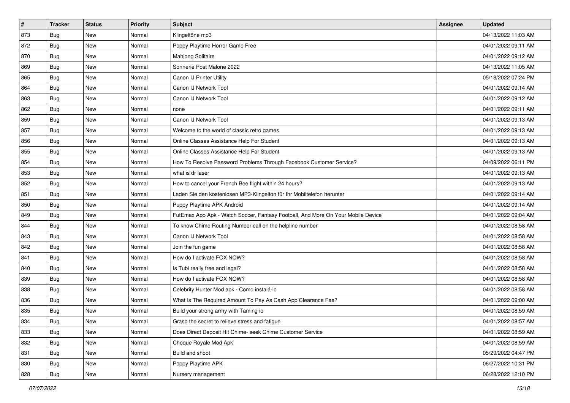| #   | <b>Tracker</b> | <b>Status</b> | <b>Priority</b> | <b>Subject</b>                                                                   | <b>Assignee</b> | <b>Updated</b>      |
|-----|----------------|---------------|-----------------|----------------------------------------------------------------------------------|-----------------|---------------------|
| 873 | Bug            | New           | Normal          | Klingeltöne mp3                                                                  |                 | 04/13/2022 11:03 AM |
| 872 | Bug            | <b>New</b>    | Normal          | Poppy Playtime Horror Game Free                                                  |                 | 04/01/2022 09:11 AM |
| 870 | Bug            | New           | Normal          | Mahjong Solitaire                                                                |                 | 04/01/2022 09:12 AM |
| 869 | <b>Bug</b>     | <b>New</b>    | Normal          | Sonnerie Post Malone 2022                                                        |                 | 04/13/2022 11:05 AM |
| 865 | Bug            | <b>New</b>    | Normal          | Canon IJ Printer Utility                                                         |                 | 05/18/2022 07:24 PM |
| 864 | Bug            | <b>New</b>    | Normal          | Canon IJ Network Tool                                                            |                 | 04/01/2022 09:14 AM |
| 863 | Bug            | New           | Normal          | Canon IJ Network Tool                                                            |                 | 04/01/2022 09:12 AM |
| 862 | Bug            | New           | Normal          | none                                                                             |                 | 04/01/2022 09:11 AM |
| 859 | Bug            | <b>New</b>    | Normal          | Canon IJ Network Tool                                                            |                 | 04/01/2022 09:13 AM |
| 857 | Bug            | <b>New</b>    | Normal          | Welcome to the world of classic retro games                                      |                 | 04/01/2022 09:13 AM |
| 856 | Bug            | <b>New</b>    | Normal          | Online Classes Assistance Help For Student                                       |                 | 04/01/2022 09:13 AM |
| 855 | Bug            | New           | Normal          | Online Classes Assistance Help For Student                                       |                 | 04/01/2022 09:13 AM |
| 854 | Bug            | <b>New</b>    | Normal          | How To Resolve Password Problems Through Facebook Customer Service?              |                 | 04/09/2022 06:11 PM |
| 853 | Bug            | <b>New</b>    | Normal          | what is dr laser                                                                 |                 | 04/01/2022 09:13 AM |
| 852 | Bug            | <b>New</b>    | Normal          | How to cancel your French Bee flight within 24 hours?                            |                 | 04/01/2022 09:13 AM |
| 851 | Bug            | New           | Normal          | Laden Sie den kostenlosen MP3-Klingelton für Ihr Mobiltelefon herunter           |                 | 04/01/2022 09:14 AM |
| 850 | Bug            | <b>New</b>    | Normal          | Puppy Playtime APK Android                                                       |                 | 04/01/2022 09:14 AM |
| 849 | Bug            | New           | Normal          | FutEmax App Apk - Watch Soccer, Fantasy Football, And More On Your Mobile Device |                 | 04/01/2022 09:04 AM |
| 844 | Bug            | New           | Normal          | To know Chime Routing Number call on the helpline number                         |                 | 04/01/2022 08:58 AM |
| 843 | Bug            | <b>New</b>    | Normal          | Canon IJ Network Tool                                                            |                 | 04/01/2022 08:58 AM |
| 842 | Bug            | New           | Normal          | Join the fun game                                                                |                 | 04/01/2022 08:58 AM |
| 841 | Bug            | <b>New</b>    | Normal          | How do I activate FOX NOW?                                                       |                 | 04/01/2022 08:58 AM |
| 840 | Bug            | <b>New</b>    | Normal          | Is Tubi really free and legal?                                                   |                 | 04/01/2022 08:58 AM |
| 839 | <b>Bug</b>     | New           | Normal          | How do I activate FOX NOW?                                                       |                 | 04/01/2022 08:58 AM |
| 838 | Bug            | New           | Normal          | Celebrity Hunter Mod apk - Como instalá-lo                                       |                 | 04/01/2022 08:58 AM |
| 836 | Bug            | <b>New</b>    | Normal          | What Is The Required Amount To Pay As Cash App Clearance Fee?                    |                 | 04/01/2022 09:00 AM |
| 835 | <b>Bug</b>     | New           | Normal          | Build your strong army with Taming io                                            |                 | 04/01/2022 08:59 AM |
| 834 | <b>Bug</b>     | New           | Normal          | Grasp the secret to relieve stress and fatigue                                   |                 | 04/01/2022 08:57 AM |
| 833 | Bug            | New           | Normal          | Does Direct Deposit Hit Chime- seek Chime Customer Service                       |                 | 04/01/2022 08:59 AM |
| 832 | Bug            | New           | Normal          | Choque Royale Mod Apk                                                            |                 | 04/01/2022 08:59 AM |
| 831 | Bug            | New           | Normal          | Build and shoot                                                                  |                 | 05/29/2022 04:47 PM |
| 830 | <b>Bug</b>     | New           | Normal          | Poppy Playtime APK                                                               |                 | 06/27/2022 10:31 PM |
| 828 | <b>Bug</b>     | New           | Normal          | Nursery management                                                               |                 | 06/28/2022 12:10 PM |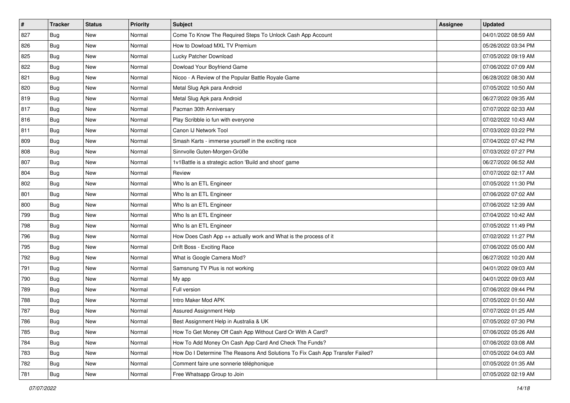| #   | <b>Tracker</b> | <b>Status</b> | <b>Priority</b> | <b>Subject</b>                                                                | <b>Assignee</b> | <b>Updated</b>      |
|-----|----------------|---------------|-----------------|-------------------------------------------------------------------------------|-----------------|---------------------|
| 827 | Bug            | New           | Normal          | Come To Know The Required Steps To Unlock Cash App Account                    |                 | 04/01/2022 08:59 AM |
| 826 | Bug            | <b>New</b>    | Normal          | How to Dowload MXL TV Premium                                                 |                 | 05/26/2022 03:34 PM |
| 825 | Bug            | New           | Normal          | Lucky Patcher Download                                                        |                 | 07/05/2022 09:19 AM |
| 822 | <b>Bug</b>     | <b>New</b>    | Normal          | Dowload Your Boyfriend Game                                                   |                 | 07/06/2022 07:09 AM |
| 821 | Bug            | <b>New</b>    | Normal          | Nicoo - A Review of the Popular Battle Royale Game                            |                 | 06/28/2022 08:30 AM |
| 820 | Bug            | <b>New</b>    | Normal          | Metal Slug Apk para Android                                                   |                 | 07/05/2022 10:50 AM |
| 819 | Bug            | New           | Normal          | Metal Slug Apk para Android                                                   |                 | 06/27/2022 09:35 AM |
| 817 | Bug            | New           | Normal          | Pacman 30th Anniversary                                                       |                 | 07/07/2022 02:33 AM |
| 816 | Bug            | <b>New</b>    | Normal          | Play Scribble io fun with everyone                                            |                 | 07/02/2022 10:43 AM |
| 811 | Bug            | <b>New</b>    | Normal          | Canon IJ Network Tool                                                         |                 | 07/03/2022 03:22 PM |
| 809 | Bug            | <b>New</b>    | Normal          | Smash Karts - immerse yourself in the exciting race                           |                 | 07/04/2022 07:42 PM |
| 808 | Bug            | New           | Normal          | Sinnvolle Guten-Morgen-Grüße                                                  |                 | 07/03/2022 07:27 PM |
| 807 | Bug            | <b>New</b>    | Normal          | 1v1Battle is a strategic action 'Build and shoot' game                        |                 | 06/27/2022 06:52 AM |
| 804 | Bug            | <b>New</b>    | Normal          | Review                                                                        |                 | 07/07/2022 02:17 AM |
| 802 | Bug            | <b>New</b>    | Normal          | Who Is an ETL Engineer                                                        |                 | 07/05/2022 11:30 PM |
| 801 | Bug            | New           | Normal          | Who Is an ETL Engineer                                                        |                 | 07/06/2022 07:02 AM |
| 800 | Bug            | <b>New</b>    | Normal          | Who Is an ETL Engineer                                                        |                 | 07/06/2022 12:39 AM |
| 799 | Bug            | <b>New</b>    | Normal          | Who Is an ETL Engineer                                                        |                 | 07/04/2022 10:42 AM |
| 798 | Bug            | New           | Normal          | Who Is an ETL Engineer                                                        |                 | 07/05/2022 11:49 PM |
| 796 | Bug            | <b>New</b>    | Normal          | How Does Cash App ++ actually work and What is the process of it              |                 | 07/02/2022 11:27 PM |
| 795 | Bug            | New           | Normal          | Drift Boss - Exciting Race                                                    |                 | 07/06/2022 05:00 AM |
| 792 | Bug            | <b>New</b>    | Normal          | What is Google Camera Mod?                                                    |                 | 06/27/2022 10:20 AM |
| 791 | Bug            | <b>New</b>    | Normal          | Samsnung TV Plus is not working                                               |                 | 04/01/2022 09:03 AM |
| 790 | <b>Bug</b>     | <b>New</b>    | Normal          | My app                                                                        |                 | 04/01/2022 09:03 AM |
| 789 | Bug            | New           | Normal          | Full version                                                                  |                 | 07/06/2022 09:44 PM |
| 788 | Bug            | <b>New</b>    | Normal          | Intro Maker Mod APK                                                           |                 | 07/05/2022 01:50 AM |
| 787 | <b>Bug</b>     | New           | Normal          | <b>Assured Assignment Help</b>                                                |                 | 07/07/2022 01:25 AM |
| 786 | <b>Bug</b>     | New           | Normal          | Best Assignment Help in Australia & UK                                        |                 | 07/05/2022 07:30 PM |
| 785 | Bug            | New           | Normal          | How To Get Money Off Cash App Without Card Or With A Card?                    |                 | 07/06/2022 05:26 AM |
| 784 | Bug            | New           | Normal          | How To Add Money On Cash App Card And Check The Funds?                        |                 | 07/06/2022 03:08 AM |
| 783 | Bug            | New           | Normal          | How Do I Determine The Reasons And Solutions To Fix Cash App Transfer Failed? |                 | 07/05/2022 04:03 AM |
| 782 | <b>Bug</b>     | New           | Normal          | Comment faire une sonnerie téléphonique                                       |                 | 07/05/2022 01:35 AM |
| 781 | Bug            | New           | Normal          | Free Whatsapp Group to Join                                                   |                 | 07/05/2022 02:19 AM |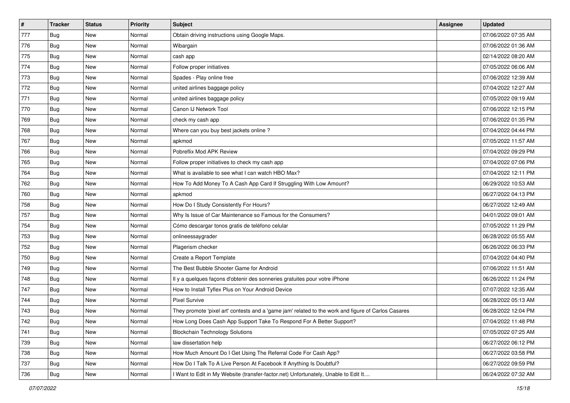| $\sharp$ | <b>Tracker</b> | <b>Status</b> | <b>Priority</b> | <b>Subject</b>                                                                                      | <b>Assignee</b> | <b>Updated</b>      |
|----------|----------------|---------------|-----------------|-----------------------------------------------------------------------------------------------------|-----------------|---------------------|
| 777      | Bug            | New           | Normal          | Obtain driving instructions using Google Maps.                                                      |                 | 07/06/2022 07:35 AM |
| 776      | Bug            | New           | Normal          | Wibargain                                                                                           |                 | 07/06/2022 01:36 AM |
| 775      | Bug            | New           | Normal          | cash app                                                                                            |                 | 02/14/2022 08:20 AM |
| 774      | Bug            | New           | Normal          | Follow proper initiatives                                                                           |                 | 07/05/2022 06:06 AM |
| 773      | Bug            | New           | Normal          | Spades - Play online free                                                                           |                 | 07/06/2022 12:39 AM |
| 772      | Bug            | New           | Normal          | united airlines baggage policy                                                                      |                 | 07/04/2022 12:27 AM |
| 771      | Bug            | New           | Normal          | united airlines baggage policy                                                                      |                 | 07/05/2022 09:19 AM |
| 770      | <b>Bug</b>     | New           | Normal          | Canon IJ Network Tool                                                                               |                 | 07/06/2022 12:15 PM |
| 769      | Bug            | New           | Normal          | check my cash app                                                                                   |                 | 07/06/2022 01:35 PM |
| 768      | Bug            | New           | Normal          | Where can you buy best jackets online?                                                              |                 | 07/04/2022 04:44 PM |
| 767      | Bug            | New           | Normal          | apkmod                                                                                              |                 | 07/05/2022 11:57 AM |
| 766      | Bug            | New           | Normal          | Pobreflix Mod APK Review                                                                            |                 | 07/04/2022 09:29 PM |
| 765      | Bug            | New           | Normal          | Follow proper initiatives to check my cash app                                                      |                 | 07/04/2022 07:06 PM |
| 764      | Bug            | New           | Normal          | What is available to see what I can watch HBO Max?                                                  |                 | 07/04/2022 12:11 PM |
| 762      | Bug            | New           | Normal          | How To Add Money To A Cash App Card If Struggling With Low Amount?                                  |                 | 06/29/2022 10:53 AM |
| 760      | Bug            | New           | Normal          | apkmod                                                                                              |                 | 06/27/2022 04:13 PM |
| 758      | Bug            | New           | Normal          | How Do I Study Consistently For Hours?                                                              |                 | 06/27/2022 12:49 AM |
| 757      | Bug            | New           | Normal          | Why Is Issue of Car Maintenance so Famous for the Consumers?                                        |                 | 04/01/2022 09:01 AM |
| 754      | Bug            | New           | Normal          | Cómo descargar tonos gratis de teléfono celular                                                     |                 | 07/05/2022 11:29 PM |
| 753      | Bug            | New           | Normal          | onlineessaygrader                                                                                   |                 | 06/28/2022 05:55 AM |
| 752      | <b>Bug</b>     | New           | Normal          | Plagerism checker                                                                                   |                 | 06/26/2022 06:33 PM |
| 750      | Bug            | New           | Normal          | Create a Report Template                                                                            |                 | 07/04/2022 04:40 PM |
| 749      | Bug            | New           | Normal          | The Best Bubble Shooter Game for Android                                                            |                 | 07/06/2022 11:51 AM |
| 748      | Bug            | New           | Normal          | Il y a quelques façons d'obtenir des sonneries gratuites pour votre iPhone                          |                 | 06/26/2022 11:24 PM |
| 747      | Bug            | New           | Normal          | How to Install Tyflex Plus on Your Android Device                                                   |                 | 07/07/2022 12:35 AM |
| 744      | Bug            | New           | Normal          | <b>Pixel Survive</b>                                                                                |                 | 06/28/2022 05:13 AM |
| 743      | <b>Bug</b>     | New           | Normal          | They promote 'pixel art' contests and a 'game jam' related to the work and figure of Carlos Casares |                 | 06/28/2022 12:04 PM |
| 742      | <b>Bug</b>     | New           | Normal          | How Long Does Cash App Support Take To Respond For A Better Support?                                |                 | 07/04/2022 11:48 PM |
| 741      | <b>Bug</b>     | New           | Normal          | <b>Blockchain Technology Solutions</b>                                                              |                 | 07/05/2022 07:25 AM |
| 739      | Bug            | New           | Normal          | law dissertation help                                                                               |                 | 06/27/2022 06:12 PM |
| 738      | Bug            | New           | Normal          | How Much Amount Do I Get Using The Referral Code For Cash App?                                      |                 | 06/27/2022 03:58 PM |
| 737      | <b>Bug</b>     | New           | Normal          | How Do I Talk To A Live Person At Facebook If Anything Is Doubtful?                                 |                 | 06/27/2022 09:59 PM |
| 736      | <b>Bug</b>     | New           | Normal          | I Want to Edit in My Website (transfer-factor.net) Unfortunately, Unable to Edit It                 |                 | 06/24/2022 07:32 AM |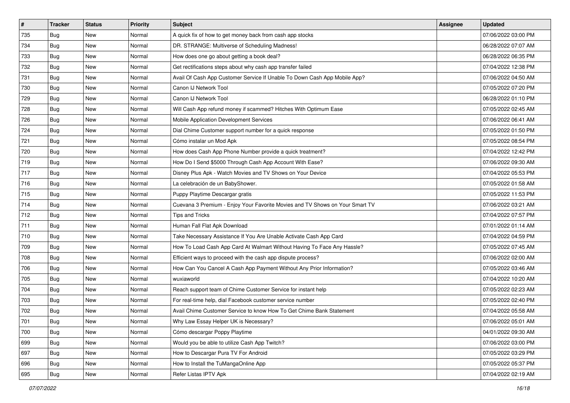| $\vert$ # | <b>Tracker</b> | <b>Status</b> | <b>Priority</b> | <b>Subject</b>                                                               | Assignee | <b>Updated</b>      |
|-----------|----------------|---------------|-----------------|------------------------------------------------------------------------------|----------|---------------------|
| 735       | Bug            | New           | Normal          | A quick fix of how to get money back from cash app stocks                    |          | 07/06/2022 03:00 PM |
| 734       | Bug            | <b>New</b>    | Normal          | DR. STRANGE: Multiverse of Scheduling Madness!                               |          | 06/28/2022 07:07 AM |
| 733       | Bug            | New           | Normal          | How does one go about getting a book deal?                                   |          | 06/28/2022 06:35 PM |
| 732       | Bug            | <b>New</b>    | Normal          | Get rectifications steps about why cash app transfer failed                  |          | 07/04/2022 12:38 PM |
| 731       | Bug            | New           | Normal          | Avail Of Cash App Customer Service If Unable To Down Cash App Mobile App?    |          | 07/06/2022 04:50 AM |
| 730       | Bug            | <b>New</b>    | Normal          | Canon IJ Network Tool                                                        |          | 07/05/2022 07:20 PM |
| 729       | Bug            | New           | Normal          | Canon IJ Network Tool                                                        |          | 06/28/2022 01:10 PM |
| 728       | Bug            | New           | Normal          | Will Cash App refund money if scammed? Hitches With Optimum Ease             |          | 07/05/2022 02:45 AM |
| 726       | Bug            | New           | Normal          | Mobile Application Development Services                                      |          | 07/06/2022 06:41 AM |
| 724       | Bug            | New           | Normal          | Dial Chime Customer support number for a quick response                      |          | 07/05/2022 01:50 PM |
| 721       | Bug            | <b>New</b>    | Normal          | Cómo instalar un Mod Apk                                                     |          | 07/05/2022 08:54 PM |
| 720       | Bug            | New           | Normal          | How does Cash App Phone Number provide a quick treatment?                    |          | 07/04/2022 12:42 PM |
| 719       | Bug            | <b>New</b>    | Normal          | How Do I Send \$5000 Through Cash App Account With Ease?                     |          | 07/06/2022 09:30 AM |
| 717       | Bug            | New           | Normal          | Disney Plus Apk - Watch Movies and TV Shows on Your Device                   |          | 07/04/2022 05:53 PM |
| 716       | Bug            | <b>New</b>    | Normal          | La celebración de un BabyShower.                                             |          | 07/05/2022 01:58 AM |
| 715       | Bug            | New           | Normal          | Puppy Playtime Descargar gratis                                              |          | 07/05/2022 11:53 PM |
| 714       | Bug            | <b>New</b>    | Normal          | Cuevana 3 Premium - Enjoy Your Favorite Movies and TV Shows on Your Smart TV |          | 07/06/2022 03:21 AM |
| 712       | Bug            | <b>New</b>    | Normal          | <b>Tips and Tricks</b>                                                       |          | 07/04/2022 07:57 PM |
| 711       | Bug            | New           | Normal          | Human Fall Flat Apk Download                                                 |          | 07/01/2022 01:14 AM |
| 710       | Bug            | <b>New</b>    | Normal          | Take Necessary Assistance If You Are Unable Activate Cash App Card           |          | 07/04/2022 04:59 PM |
| 709       | Bug            | New           | Normal          | How To Load Cash App Card At Walmart Without Having To Face Any Hassle?      |          | 07/05/2022 07:45 AM |
| 708       | Bug            | <b>New</b>    | Normal          | Efficient ways to proceed with the cash app dispute process?                 |          | 07/06/2022 02:00 AM |
| 706       | Bug            | <b>New</b>    | Normal          | How Can You Cancel A Cash App Payment Without Any Prior Information?         |          | 07/05/2022 03:46 AM |
| 705       | <b>Bug</b>     | <b>New</b>    | Normal          | wuxiaworld                                                                   |          | 07/04/2022 10:20 AM |
| 704       | Bug            | New           | Normal          | Reach support team of Chime Customer Service for instant help                |          | 07/05/2022 02:23 AM |
| 703       | Bug            | <b>New</b>    | Normal          | For real-time help, dial Facebook customer service number                    |          | 07/05/2022 02:40 PM |
| 702       | <b>Bug</b>     | New           | Normal          | Avail Chime Customer Service to know How To Get Chime Bank Statement         |          | 07/04/2022 05:58 AM |
| 701       | <b>Bug</b>     | New           | Normal          | Why Law Essay Helper UK is Necessary?                                        |          | 07/06/2022 05:01 AM |
| 700       | Bug            | New           | Normal          | Cómo descargar Poppy Playtime                                                |          | 04/01/2022 09:30 AM |
| 699       | Bug            | New           | Normal          | Would you be able to utilize Cash App Twitch?                                |          | 07/06/2022 03:00 PM |
| 697       | Bug            | New           | Normal          | How to Descargar Pura TV For Android                                         |          | 07/05/2022 03:29 PM |
| 696       | <b>Bug</b>     | New           | Normal          | How to Install the TuMangaOnline App                                         |          | 07/05/2022 05:37 PM |
| 695       | <b>Bug</b>     | New           | Normal          | Refer Listas IPTV Apk                                                        |          | 07/04/2022 02:19 AM |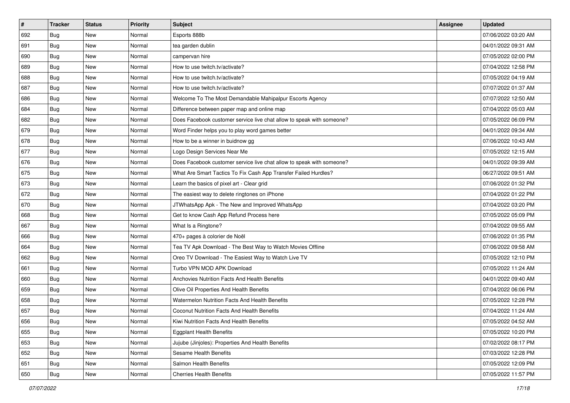| $\sharp$ | <b>Tracker</b> | <b>Status</b> | <b>Priority</b> | Subject                                                               | Assignee | <b>Updated</b>      |
|----------|----------------|---------------|-----------------|-----------------------------------------------------------------------|----------|---------------------|
| 692      | Bug            | New           | Normal          | Esports 888b                                                          |          | 07/06/2022 03:20 AM |
| 691      | Bug            | <b>New</b>    | Normal          | tea garden dublin                                                     |          | 04/01/2022 09:31 AM |
| 690      | Bug            | New           | Normal          | campervan hire                                                        |          | 07/05/2022 02:00 PM |
| 689      | Bug            | New           | Normal          | How to use twitch.tv/activate?                                        |          | 07/04/2022 12:58 PM |
| 688      | Bug            | <b>New</b>    | Normal          | How to use twitch.tv/activate?                                        |          | 07/05/2022 04:19 AM |
| 687      | Bug            | New           | Normal          | How to use twitch.tv/activate?                                        |          | 07/07/2022 01:37 AM |
| 686      | Bug            | New           | Normal          | Welcome To The Most Demandable Mahipalpur Escorts Agency              |          | 07/07/2022 12:50 AM |
| 684      | Bug            | New           | Normal          | Difference between paper map and online map                           |          | 07/04/2022 05:03 AM |
| 682      | Bug            | New           | Normal          | Does Facebook customer service live chat allow to speak with someone? |          | 07/05/2022 06:09 PM |
| 679      | Bug            | <b>New</b>    | Normal          | Word Finder helps you to play word games better                       |          | 04/01/2022 09:34 AM |
| 678      | Bug            | New           | Normal          | How to be a winner in buidnow gg                                      |          | 07/06/2022 10:43 AM |
| 677      | Bug            | New           | Normal          | Logo Design Services Near Me                                          |          | 07/05/2022 12:15 AM |
| 676      | Bug            | New           | Normal          | Does Facebook customer service live chat allow to speak with someone? |          | 04/01/2022 09:39 AM |
| 675      | Bug            | New           | Normal          | What Are Smart Tactics To Fix Cash App Transfer Failed Hurdles?       |          | 06/27/2022 09:51 AM |
| 673      | Bug            | New           | Normal          | Learn the basics of pixel art - Clear grid                            |          | 07/06/2022 01:32 PM |
| 672      | Bug            | New           | Normal          | The easiest way to delete ringtones on iPhone                         |          | 07/04/2022 01:22 PM |
| 670      | Bug            | New           | Normal          | JTWhatsApp Apk - The New and Improved WhatsApp                        |          | 07/04/2022 03:20 PM |
| 668      | Bug            | New           | Normal          | Get to know Cash App Refund Process here                              |          | 07/05/2022 05:09 PM |
| 667      | Bug            | New           | Normal          | What Is a Ringtone?                                                   |          | 07/04/2022 09:55 AM |
| 666      | Bug            | New           | Normal          | 470+ pages à colorier de Noël                                         |          | 07/06/2022 01:35 PM |
| 664      | Bug            | New           | Normal          | Tea TV Apk Download - The Best Way to Watch Movies Offline            |          | 07/06/2022 09:58 AM |
| 662      | Bug            | New           | Normal          | Oreo TV Download - The Easiest Way to Watch Live TV                   |          | 07/05/2022 12:10 PM |
| 661      | Bug            | <b>New</b>    | Normal          | Turbo VPN MOD APK Download                                            |          | 07/05/2022 11:24 AM |
| 660      | Bug            | New           | Normal          | Anchovies Nutrition Facts And Health Benefits                         |          | 04/01/2022 09:40 AM |
| 659      | Bug            | New           | Normal          | Olive Oil Properties And Health Benefits                              |          | 07/04/2022 06:06 PM |
| 658      | Bug            | New           | Normal          | Watermelon Nutrition Facts And Health Benefits                        |          | 07/05/2022 12:28 PM |
| 657      | <b>Bug</b>     | New           | Normal          | Coconut Nutrition Facts And Health Benefits                           |          | 07/04/2022 11:24 AM |
| 656      | i Bug          | New           | Normal          | Kiwi Nutrition Facts And Health Benefits                              |          | 07/05/2022 04:52 AM |
| 655      | Bug            | New           | Normal          | <b>Eggplant Health Benefits</b>                                       |          | 07/05/2022 10:20 PM |
| 653      | Bug            | New           | Normal          | Jujube (Jinjoles): Properties And Health Benefits                     |          | 07/02/2022 08:17 PM |
| 652      | Bug            | New           | Normal          | Sesame Health Benefits                                                |          | 07/03/2022 12:28 PM |
| 651      | <b>Bug</b>     | New           | Normal          | Salmon Health Benefits                                                |          | 07/05/2022 12:09 PM |
| 650      | <b>Bug</b>     | New           | Normal          | <b>Cherries Health Benefits</b>                                       |          | 07/05/2022 11:57 PM |